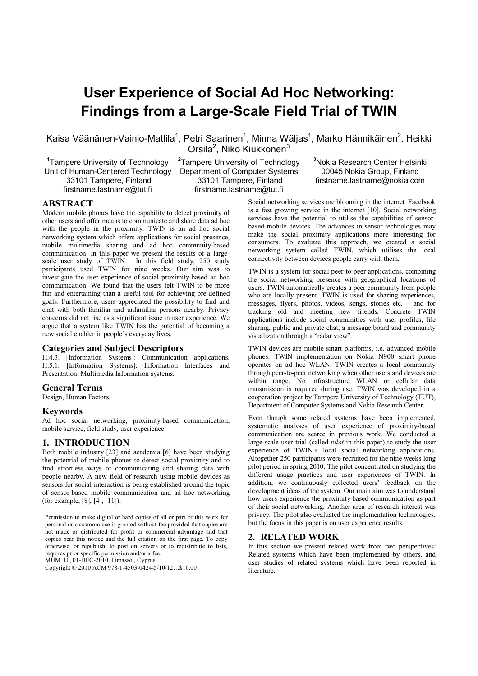# **User Experience of Social Ad Hoc Networking: Findings from a Large-Scale Field Trial of TWIN**

Kaisa Väänänen-Vainio-Mattila<sup>1</sup>, Petri Saarinen<sup>1</sup>, Minna Wäljas<sup>1</sup>, Marko Hännikäinen<sup>2</sup>, Heikki

<sup>1</sup>Tampere University of Technology Unit of Human-Centered Technology 33101 Tampere, Finland firstname.lastname@tut.fi

Orsila<sup>2</sup>, Niko Kiukkonen<sup>3</sup>  ${\rm ^2}$ Tampere University of Technology Department of Computer Systems 33101 Tampere, Finland

firstname.lastname@tut.fi

<sup>3</sup>Nokia Research Center Helsinki

00045 Nokia Group, Finland firstname.lastname@nokia.com

# **ABSTRACT**

Modern mobile phones have the capability to detect proximity of other users and offer means to communicate and share data ad hoc with the people in the proximity. TWIN is an ad hoc social networking system which offers applications for social presence, mobile multimedia sharing and ad hoc community-based communication. In this paper we present the results of a largescale user study of TWIN. In this field study, 250 study participants used TWIN for nine weeks. Our aim was to investigate the user experience of social proximity-based ad hoc communication. We found that the users felt TWIN to be more fun and entertaining than a useful tool for achieving pre-defined goals. Furthermore, users appreciated the possibility to find and chat with both familiar and unfamiliar persons nearby. Privacy concerns did not rise as a significant issue in user experience. We argue that a system like TWIN has the potential of becoming a new social enabler in people's everyday lives.

# **Categories and Subject Descriptors**

H.4.3. [Information Systems]: Communication applications. H.5.1. [Information Systems]: Information Interfaces and Presentation; Multimedia Information systems.

# **General Terms**

Design, Human Factors.

## **Keywords**

Ad hoc social networking, proximity-based communication, mobile service, field study, user experience.

# **1. INTRODUCTION**

Both mobile industry [23] and academia [6] have been studying the potential of mobile phones to detect social proximity and to find effortless ways of communicating and sharing data with people nearby. A new field of research using mobile devices as sensors for social interaction is being established around the topic of sensor-based mobile communication and ad hoc networking (for example, [8], [4], [11]).

Permission to make digital or hard copies of all or part of this work for personal or classroom use is granted without fee provided that copies are not made or distributed for profit or commercial advantage and that copies bear this notice and the full citation on the first page. To copy otherwise, or republish, to post on servers or to redistribute to lists, requires prior specific permission and/or a fee. MUM '10, 01-DEC-2010, Limassol, Cyprus

Copyright © 2010 ACM 978-1-4503-0424-5/10/12…\$10.00

Social networking services are blooming in the internet. Facebook is a fast growing service in the internet [10]. Social networking services have the potential to utilise the capabilities of sensorbased mobile devices. The advances in sensor technologies may make the social proximity applications more interesting for consumers. To evaluate this approach, we created a social networking system called TWIN, which utilises the local connectivity between devices people carry with them.

TWIN is a system for social peer-to-peer applications, combining the social networking presence with geographical locations of users. TWIN automatically creates a peer community from people who are locally present. TWIN is used for sharing experiences, messages, flyers, photos, videos, songs, stories etc. – and for tracking old and meeting new friends. Concrete TWIN applications include social communities with user profiles, file sharing, public and private chat, a message board and community visualization through a "radar view".

TWIN devices are mobile smart platforms, i.e. advanced mobile phones. TWIN implementation on Nokia N900 smart phone operates on ad hoc WLAN. TWIN creates a local community through peer-to-peer networking when other users and devices are within range. No infrastructure WLAN or cellular data transmission is required during use. TWIN was developed in a cooperation project by Tampere University of Technology (TUT), Department of Computer Systems and Nokia Research Center.

Even though some related systems have been implemented, systematic analyses of user experience of proximity-based communication are scarce in previous work. We conducted a large-scale user trial (called *pilot* in this paper) to study the user experience of TWIN's local social networking applications. Altogether 250 participants were recruited for the nine weeks long pilot period in spring 2010. The pilot concentrated on studying the different usage practices and user experiences of TWIN. In addition, we continuously collected users' feedback on the development ideas of the system. Our main aim was to understand how users experience the proximity-based communication as part of their social networking. Another area of research interest was privacy. The pilot also evaluated the implementation technologies, but the focus in this paper is on user experience results.

# **2. RELATED WORK**

In this section we present related work from two perspectives: Related systems which have been implemented by others, and user studies of related systems which have been reported in literature.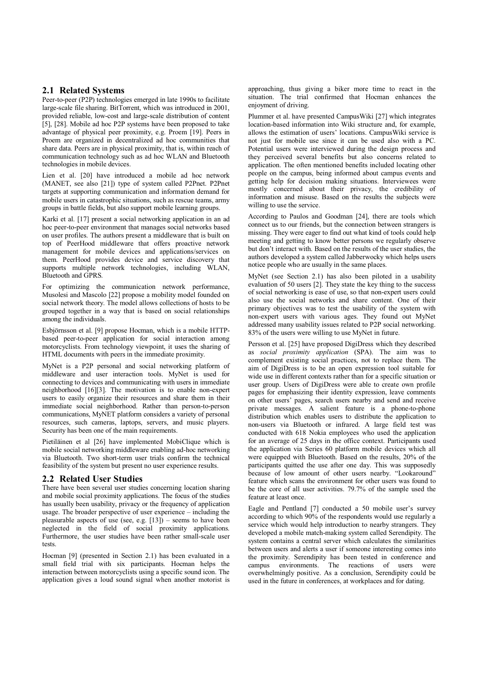## **2.1 Related Systems**

Peer-to-peer (P2P) technologies emerged in late 1990s to facilitate large-scale file sharing. BitTorrent, which was introduced in 2001, provided reliable, low-cost and large-scale distribution of content [5], [28]. Mobile ad hoc P2P systems have been proposed to take advantage of physical peer proximity, e.g. Proem [19]. Peers in Proem are organized in decentralized ad hoc communities that share data. Peers are in physical proximity, that is, within reach of communication technology such as ad hoc WLAN and Bluetooth technologies in mobile devices.

Lien et al. [20] have introduced a mobile ad hoc network (MANET, see also [21]) type of system called P2Pnet. P2Pnet targets at supporting communication and information demand for mobile users in catastrophic situations, such as rescue teams, army groups in battle fields, but also support mobile learning groups.

Karki et al. [17] present a social networking application in an ad hoc peer-to-peer environment that manages social networks based on user profiles. The authors present a middleware that is built on top of PeerHood middleware that offers proactive network management for mobile devices and applications/services on them. PeerHood provides device and service discovery that supports multiple network technologies, including WLAN, Bluetooth and GPRS.

For optimizing the communication network performance, Musolesi and Mascolo [22] propose a mobility model founded on social network theory. The model allows collections of hosts to be grouped together in a way that is based on social relationships among the individuals.

Esbjörnsson et al. [9] propose Hocman, which is a mobile HTTPbased peer-to-peer application for social interaction among motorcyclists. From technology viewpoint, it uses the sharing of HTML documents with peers in the immediate proximity.

MyNet is a P2P personal and social networking platform of middleware and user interaction tools. MyNet is used for connecting to devices and communicating with users in immediate neighborhood [16][3]. The motivation is to enable non-expert users to easily organize their resources and share them in their immediate social neighborhood. Rather than person-to-person communications, MyNET platform considers a variety of personal resources, such cameras, laptops, servers, and music players. Security has been one of the main requirements.

Pietiläinen et al [26] have implemented MobiClique which is mobile social networking middleware enabling ad-hoc networking via Bluetooth. Two short-term user trials confirm the technical feasibility of the system but present no user experience results.

## **2.2 Related User Studies**

There have been several user studies concerning location sharing and mobile social proximity applications. The focus of the studies has usually been usability, privacy or the frequency of application usage. The broader perspective of user experience – including the pleasurable aspects of use (see, e.g.  $[13]$ ) – seems to have been neglected in the field of social proximity applications. Furthermore, the user studies have been rather small-scale user tests.

Hocman [9] (presented in Section 2.1) has been evaluated in a small field trial with six participants. Hocman helps the interaction between motorcyclists using a specific sound icon. The application gives a loud sound signal when another motorist is approaching, thus giving a biker more time to react in the situation. The trial confirmed that Hocman enhances the enjoyment of driving.

Plummer et al. have presented CampusWiki [27] which integrates location-based information into Wiki structure and, for example, allows the estimation of users' locations. CampusWiki service is not just for mobile use since it can be used also with a PC. Potential users were interviewed during the design process and they perceived several benefits but also concerns related to application. The often mentioned benefits included locating other people on the campus, being informed about campus events and getting help for decision making situations. Interviewees were mostly concerned about their privacy, the credibility of information and misuse. Based on the results the subjects were willing to use the service.

According to Paulos and Goodman [24], there are tools which connect us to our friends, but the connection between strangers is missing. They were eager to find out what kind of tools could help meeting and getting to know better persons we regularly observe but don't interact with. Based on the results of the user studies, the authors developed a system called Jabberwocky which helps users notice people who are usually in the same places.

MyNet (see Section 2.1) has also been piloted in a usability evaluation of 50 users [2]. They state the key thing to the success of social networking is ease of use, so that non-expert users could also use the social networks and share content. One of their primary objectives was to test the usability of the system with non-expert users with various ages. They found out MyNet addressed many usability issues related to P2P social networking. 83% of the users were willing to use MyNet in future.

Persson et al. [25] have proposed DigiDress which they described as *social proximity application* (SPA). The aim was to complement existing social practices, not to replace them. The aim of DigiDress is to be an open expression tool suitable for wide use in different contexts rather than for a specific situation or user group. Users of DigiDress were able to create own profile pages for emphasizing their identity expression, leave comments on other users' pages, search users nearby and send and receive private messages. A salient feature is a phone-to-phone distribution which enables users to distribute the application to non-users via Bluetooth or infrared. A large field test was conducted with 618 Nokia employees who used the application for an average of 25 days in the office context. Participants used the application via Series 60 platform mobile devices which all were equipped with Bluetooth. Based on the results, 20% of the participants quitted the use after one day. This was supposedly because of low amount of other users nearby. "Lookaround" feature which scans the environment for other users was found to be the core of all user activities. 79.7% of the sample used the feature at least once.

Eagle and Pentland [7] conducted a 50 mobile user's survey according to which 90% of the respondents would use regularly a service which would help introduction to nearby strangers. They developed a mobile match-making system called Serendipity. The system contains a central server which calculates the similarities between users and alerts a user if someone interesting comes into the proximity. Serendipity has been tested in conference and campus environments. The reactions of users were overwhelmingly positive. As a conclusion, Serendipity could be used in the future in conferences, at workplaces and for dating.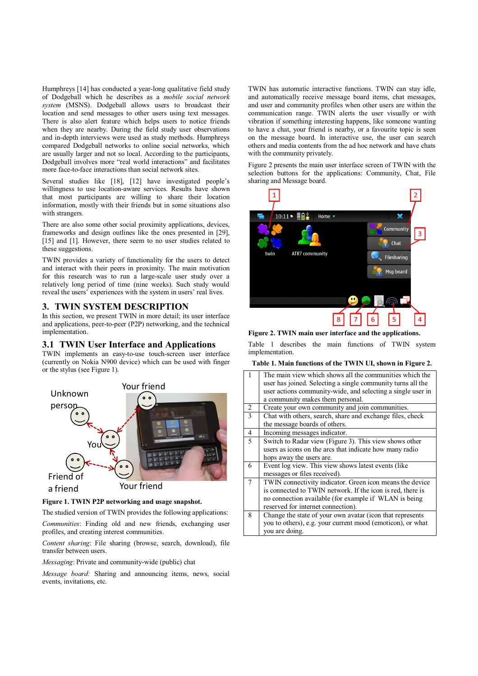Humphreys [14] has conducted a year-long qualitative field study of Dodgeball which he describes as a *mobile social network system* (MSNS). Dodgeball allows users to broadcast their location and send messages to other users using text messages. There is also alert feature which helps users to notice friends when they are nearby. During the field study user observations and in-depth interviews were used as study methods. Humphreys compared Dodgeball networks to online social networks, which are usually larger and not so local. According to the participants, Dodgeball involves more "real world interactions" and facilitates more face-to-face interactions than social network sites.

Several studies like [18], [12] have investigated people's willingness to use location-aware services. Results have shown that most participants are willing to share their location information, mostly with their friends but in some situations also with strangers.

There are also some other social proximity applications, devices, frameworks and design outlines like the ones presented in [29], [15] and [1]. However, there seem to no user studies related to these suggestions.

TWIN provides a variety of functionality for the users to detect and interact with their peers in proximity. The main motivation for this research was to run a large-scale user study over a relatively long period of time (nine weeks). Such study would reveal the users' experiences with the system in users' real lives.

## **3. TWIN SYSTEM DESCRIPTION**

In this section, we present TWIN in more detail; its user interface and applications, peer-to-peer (P2P) networking, and the technical implementation.

# **3.1 TWIN User Interface and Applications**

TWIN implements an easy-to-use touch-screen user interface (currently on Nokia N900 device) which can be used with finger or the stylus (see Figure 1).



### **Figure 1. TWIN P2P networking and usage snapshot.**

The studied version of TWIN provides the following applications:

*Communities*: Finding old and new friends, exchanging user profiles, and creating interest communities.

*Content sharing*: File sharing (browse, search, download), file transfer between users.

*Messaging*: Private and community-wide (public) chat

*Message board:* Sharing and announcing items, news, social events, invitations, etc.

TWIN has automatic interactive functions. TWIN can stay idle, and automatically receive message board items, chat messages, and user and community profiles when other users are within the communication range. TWIN alerts the user visually or with vibration if something interesting happens, like someone wanting to have a chat, your friend is nearby, or a favourite topic is seen on the message board. In interactive use, the user can search others and media contents from the ad hoc network and have chats with the community privately.

Figure 2 presents the main user interface screen of TWIN with the selection buttons for the applications: Community, Chat, File sharing and Message board.



**Figure 2. TWIN main user interface and the applications.**

Table 1 describes the main functions of TWIN system implementation.

#### **Table 1. M ain functions ofthe TWIN UI,shown in Figure 2.**

| $\mathbf{1}$             | The main view which shows all the communities which the<br>user has joined. Selecting a single community turns all the<br>user actions community-wide, and selecting a single user in<br>a community makes them personal. |
|--------------------------|---------------------------------------------------------------------------------------------------------------------------------------------------------------------------------------------------------------------------|
| 2                        | Create your own community and join communities.                                                                                                                                                                           |
| $\overline{\mathcal{E}}$ | Chat with others, search, share and exchange files, check<br>the message boards of others.                                                                                                                                |
| $\overline{4}$           | Incoming messages indicator.                                                                                                                                                                                              |
| 5                        | Switch to Radar view (Figure 3). This view shows other<br>users as icons on the arcs that indicate how many radio<br>hops away the users are.                                                                             |
| 6                        | Event log view. This view shows latest events (like<br>messages or files received).                                                                                                                                       |
| $\overline{7}$           | TWIN connectivity indicator. Green icon means the device<br>is connected to TWIN network. If the icon is red, there is<br>no connection available (for example if WLAN is being<br>reserved for internet connection).     |
| 8                        | Change the state of your own avatar (icon that represents<br>you to others), e.g. your current mood (emoticon), or what<br>you are doing.                                                                                 |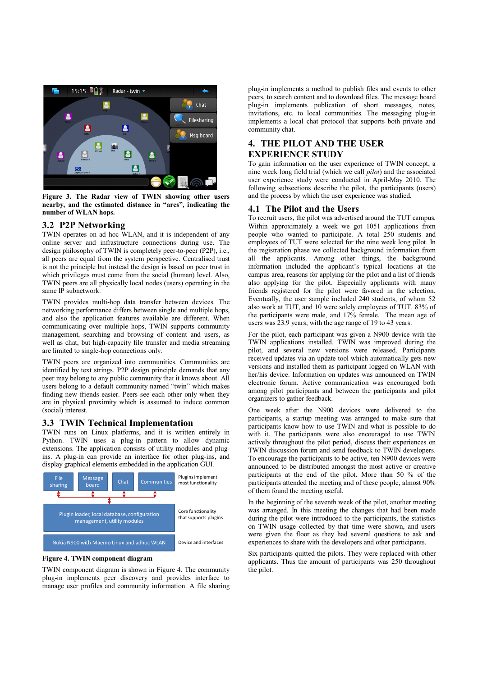

**Figure 3. The Radar view ofTWIN showing other users nearby,and the estimated distance in "arcs",indicating the number ofWLAN hops.**

## **3.2 P2PNetworking**

TWIN operates on ad hoc WLAN, and it is independent of any online server and infrastructure connections during use. The design philosophy of TWIN is completely peer-to-peer (P2P), i.e., all peers are equal from the system perspective. Centralised trust is not the principle but instead the design is based on peer trust in which privileges must come from the social (human) level. Also, TWIN peers are all physically local nodes (users) operating in the same IP subnetwork.

TWIN provides multi-hop data transfer between devices. The networking performance differs between single and multiple hops, and also the application features available are different. When communicating over multiple hops, TWIN supports community management, searching and browsing of content and users, as well as chat, but high-capacity file transfer and media streaming are limited to single-hop connections only.

TWIN peers are organized into communities. Communities are identified by text strings. P2P design principle demands that any peer may belong to any public community that it knows about. All users belong to a default community named "twin" which makes finding new friends easier. Peers see each other only when they are in physical proximity which is assumed to induce common (social) interest.

## **3.3 TWIN Technical Implementation**

TWIN runs on Linux platforms, and it is written entirely in Python. TWIN uses a plug-in pattern to allow dynamic extensions. The application consists of utility modules and plugins. A plug-in can provide an interface for other plug-ins, and display graphical elements embedded in the application GUI.



#### **Figure 4. TWIN component diagram**

TWIN component diagram is shown in Figure 4. The community plug-in implements peer discovery and provides interface to manage user profiles and community information. A file sharing plug-in implements a method to publish files and events to other peers, to search content and to download files. The message board plug-in implements publication of short messages, notes, invitations, etc. to local communities. The messaging plug-in implements a local chat protocol that supports both private and community chat.

# **4. THE PILOT AND THE USER EXPERIENCE STUDY**

To gain information on the user experience of TWIN concept, a nine week long field trial (which we call *pilot*) and the associated user experience study were conducted in April-May 2010. The following subsections describe the pilot, the participants (users) and the process by which the user experience was studied.

#### **4.1 The Pilot and the Users**

To recruit users, the pilot was advertised around the TUT campus. Within approximately a week we got 1051 applications from people who wanted to participate. A total 250 students and employees of TUT were selected for the nine week long pilot. In the registration phase we collected background information from all the applicants. Among other things, the background information included the applicant's typical locations at the campus area, reasons for applying for the pilot and a list of friends also applying for the pilot. Especially applicants with many friends registered for the pilot were favored in the selection. Eventually, the user sample included 240 students, of whom 52 also work at TUT, and 10 were solely employees of TUT. 83% of the participants were male, and 17% female. The mean age of users was 23.9 years, with the age range of 19 to 43 years.

For the pilot, each participant was given a N900 device with the TWIN applications installed. TWIN was improved during the pilot, and several new versions were released. Participants received updates via an update tool which automatically gets new versions and installed them as participant logged on WLAN with her/his device. Information on updates was announced on TWIN electronic forum. Active communication was encouraged both among pilot participants and between the participants and pilot organizers to gather feedback.

One week after the N900 devices were delivered to the participants, a startup meeting was arranged to make sure that participants know how to use TWIN and what is possible to do with it. The participants were also encouraged to use TWIN actively throughout the pilot period, discuss their experiences on TWIN discussion forum and send feedback to TWIN developers. To encourage the participants to be active, ten N900 devices were announced to be distributed amongst the most active or creative participants at the end of the pilot. More than 50 % of the participants attended the meeting and of these people, almost 90% of them found the meeting useful.

In the beginning of the seventh week of the pilot, another meeting was arranged. In this meeting the changes that had been made during the pilot were introduced to the participants, the statistics on TWIN usage collected by that time were shown, and users were given the floor as they had several questions to ask and experiences to share with the developers and other participants.

Six participants quitted the pilots. They were replaced with other applicants. Thus the amount of participants was 250 throughout the pilot.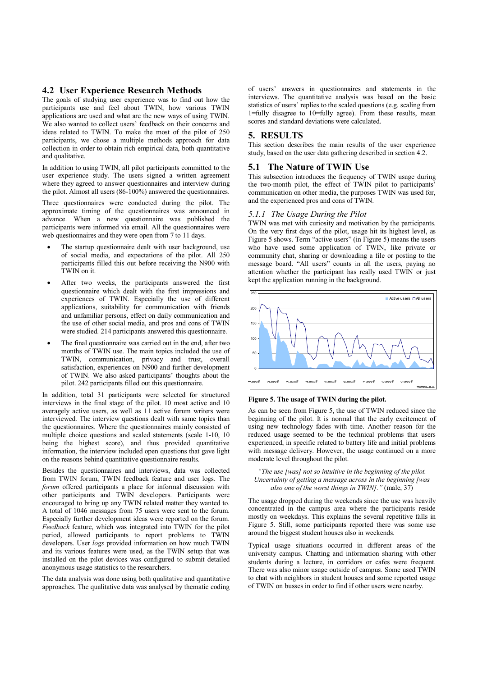## **4.2 User Experience Research Methods**

The goals of studying user experience was to find out how the participants use and feel about TWIN, how various TWIN applications are used and what are the new ways of using TWIN. We also wanted to collect users' feedback on their concerns and ideas related to TWIN. To make the most of the pilot of 250 participants, we chose a multiple methods approach for data collection in order to obtain rich empirical data, both quantitative and qualitative.

In addition to using TWIN, all pilot participants committed to the user experience study. The users signed a written agreement where they agreed to answer questionnaires and interview during the pilot. Almost all users (86-100%) answered the questionnaires.

Three questionnaires were conducted during the pilot. The approximate timing of the questionnaires was announced in advance. When a new questionnaire was published the participants were informed via email. All the questionnaires were web questionnaires and they were open from 7 to 11 days.

- The startup questionnaire dealt with user background, use of social media, and expectations of the pilot. All 250 participants filled this out before receiving the N900 with TWIN on it.
- After two weeks, the participants answered the first questionnaire which dealt with the first impressions and experiences of TWIN. Especially the use of different applications, suitability for communication with friends and unfamiliar persons, effect on daily communication and the use of other social media, and pros and cons of TWIN were studied. 214 participants answered this questionnaire.
- The final questionnaire was carried out in the end, after two months of TWIN use. The main topics included the use of TWIN, communication, privacy and trust, overall satisfaction, experiences on N900 and further development of TWIN. We also asked participants' thoughts about the pilot. 242 participants filled out this questionnaire.

In addition, total 31 participants were selected for structured interviews in the final stage of the pilot. 10 most active and 10 averagely active users, as well as 11 active forum writers were interviewed. The interview questions dealt with same topics than the questionnaires. Where the questionnaires mainly consisted of multiple choice questions and scaled statements (scale 1-10, 10 being the highest score), and thus provided quantitative information, the interview included open questions that gave light on the reasons behind quantitative questionnaire results.

Besides the questionnaires and interviews, data was collected from TWIN forum, TWIN feedback feature and user logs. The *forum* offered participants a place for informal discussion with other participants and TWIN developers. Participants were encouraged to bring up any TWIN related matter they wanted to. A total of 1046 messages from 75 users were sent to the forum. Especially further development ideas were reported on the forum. *Feedback* feature, which was integrated into TWIN for the pilot period, allowed participants to report problems to TWIN developers. User *logs* provided information on how much TWIN and its various features were used, as the TWIN setup that was installed on the pilot devices was configured to submit detailed anonymous usage statistics to the researchers.

The data analysis was done using both qualitative and quantitative approaches. The qualitative data was analysed by thematic coding of users' answers in questionnaires and statements in the interviews. The quantitative analysis was based on the basic statistics of users' replies to the scaled questions (e.g. scaling from 1=fully disagree to 10=fully agree). From these results, mean scores and standard deviations were calculated.

## **5. RESULTS**

This section describes the main results of the user experience study, based on the user data gathering described in section 4.2.

## **5.1 The Nature ofTWIN Use**

This subsection introduces the frequency of TWIN usage during the two-month pilot, the effect of TWIN pilot to participants' communication on other media, the purposes TWIN was used for, and the experienced pros and cons of TWIN.

## 5.1.1 The Usage During the Pilot

TWIN was met with curiosity and motivation by the participants. On the very first days of the pilot, usage hit its highest level, as Figure 5 shows. Term "active users" (in Figure 5) means the users who have used some application of TWIN, like private or community chat, sharing or downloading a file or posting to the message board. "All users" counts in all the users, paying no attention whether the participant has really used TWIN or just kept the application running in the background.



**Figure 5. The usage ofTWIN during the pilot.**

As can be seen from Figure 5, the use of TWIN reduced since the beginning of the pilot. It is normal that the early excitement of using new technology fades with time. Another reason for the reduced usage seemed to be the technical problems that users experienced, in specific related to battery life and initial problems with message delivery. However, the usage continued on a more moderate level throughout the pilot.

*"The use [was] not so intuitive in the beginning of the pilot. Uncertainty of getting a message across in the beginning [was*] *also one of the worst things in TWIN].*" (male, 37)

The usage dropped during the weekends since the use was heavily concentrated in the campus area where the participants reside mostly on weekdays. This explains the several repetitive falls in Figure 5. Still, some participants reported there was some use around the biggest student houses also in weekends.

Typical usage situations occurred in different areas of the university campus. Chatting and information sharing with other students during a lecture, in corridors or cafes were frequent. There was also minor usage outside of campus. Some used TWIN to chat with neighbors in student houses and some reported usage of TWIN on busses in order to find if other users were nearby.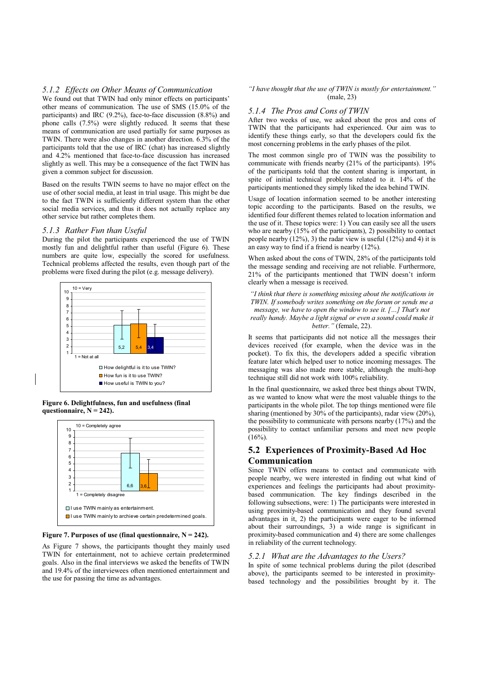#### 5.1.2 *Effects on Other Means of Communication*

We found out that TWIN had only minor effects on participants' other means of communication. The use of SMS (15.0% of the participants) and IRC (9.2%), face-to-face discussion (8.8%) and phone calls (7.5%) were slightly reduced. It seems that these means of communication are used partially for same purposes as TWIN. There were also changes in another direction. 6.3% of the participants told that the use of IRC (chat) has increased slightly and 4.2% mentioned that face-to-face discussion has increased slightly as well. This may be a consequence of the fact TWIN has given a common subject for discussion.

Based on the results TWIN seems to have no major effect on the use of other social media, at least in trial usage. This might be due to the fact TWIN is sufficiently different system than the other social media services, and thus it does not actually replace any other service but rather completes them.

#### 5.1.3 Rather Fun than Useful

During the pilot the participants experienced the use of TWIN mostly fun and delightful rather than useful (Figure 6). These numbers are quite low, especially the scored for usefulness. Technical problems affected the results, even though part of the problems were fixed during the pilot (e.g. message delivery).



**Figure 6. Delightfulness,fun and usefulness (final** questionnaire,  $N = 242$ ).



**Figure** 7. Purposes of use (final questionnaire,  $N = 242$ ).

As Figure 7 shows, the participants thought they mainly used TWIN for entertainment, not to achieve certain predetermined goals. Also in the final interviews we asked the benefits of TWIN and 19.4% of the interviewees often mentioned entertainment and the use for passing the time as advantages.

#### "*I* have thought that the use of TWIN is mostly for entertainment." (male, 23)

## *5.1.4 TheProsandConsofTWIN*

After two weeks of use, we asked about the pros and cons of TWIN that the participants had experienced. Our aim was to identify these things early, so that the developers could fix the most concerning problems in the early phases of the pilot.

The most common single pro of TWIN was the possibility to communicate with friends nearby (21% of the participants). 19% of the participants told that the content sharing is important, in spite of initial technical problems related to it. 14% of the participants mentioned they simply liked the idea behind TWIN.

Usage of location information seemed to be another interesting topic according to the participants. Based on the results, we identified four different themes related to location information and the use of it. These topics were: 1) You can easily see all the users who are nearby (15% of the participants), 2) possibility to contact people nearby  $(12\%)$ , 3) the radar view is useful  $(12\%)$  and 4) it is an easy way to find if a friend is nearby (12%).

When asked about the cons of TWIN, 28% of the participants told the message sending and receiving are not reliable. Furthermore, 21% of the participants mentioned that TWIN doesn't inform clearly when a message is received.

*"Ithinkthat thereissomethingmissingabout thenotificationsin TWIN. If somebody writes something on the forum or sends me a message, we have to open the window to see it.* [...] *That's not reallyhandy.Maybealight signal orevenasoundcouldmakeit better."*(female, 22).

It seems that participants did not notice all the messages their devices received (for example, when the device was in the pocket). To fix this, the developers added a specific vibration feature later which helped user to notice incoming messages. The messaging was also made more stable, although the multi-hop technique still did not work with 100% reliability.

In the final questionnaire, we asked three best things about TWIN, as we wanted to know what were the most valuable things to the participants in the whole pilot. The top things mentioned were file sharing (mentioned by 30% of the participants), radar view (20%), the possibility to communicate with persons nearby (17%) and the possibility to contact unfamiliar persons and meet new people  $(16\%)$ .

# **5.2 Experiences ofProximity-Based Ad Hoc Communication**

Since TWIN offers means to contact and communicate with people nearby, we were interested in finding out what kind of experiences and feelings the participants had about proximitybased communication. The key findings described in the following subsections, were: 1) The participants were interested in using proximity-based communication and they found several advantages in it, 2) the participants were eager to be informed about their surroundings, 3) a wide range is significant in proximity-based communication and 4) there are some challenges in reliability of the current technology.

#### 5.2.1 *What are the Advantages to the Users?*

In spite of some technical problems during the pilot (described above), the participants seemed to be interested in proximitybased technology and the possibilities brought by it. The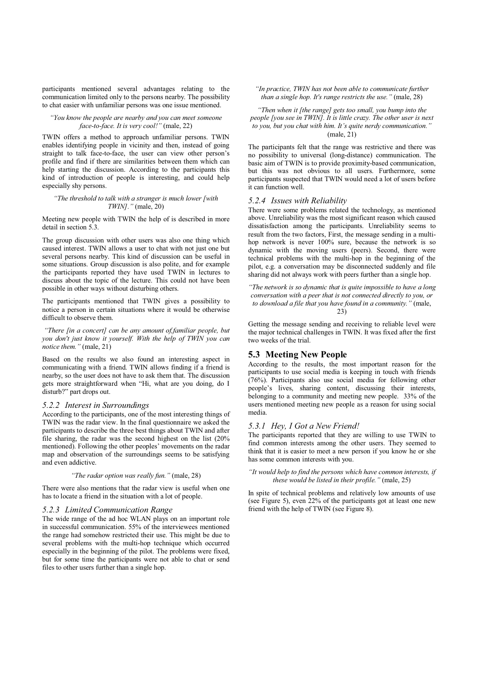participants mentioned several advantages relating to the communication limited only to the persons nearby. The possibility to chat easier with unfamiliar persons was one issue mentioned.

#### *"You know the people are nearby and you can meet someone face-to-face.It isverycool!"*(male, 22)

TWIN offers a method to approach unfamiliar persons. TWIN enables identifying people in vicinity and then, instead of going straight to talk face-to-face, the user can view other person's profile and find if there are similarities between them which can help starting the discussion. According to the participants this kind of introduction of people is interesting, and could help especially shy persons.

#### *"The threshold to talk with a stranger is much lower [with TWIN]."*(male, 20)

Meeting new people with TWIN the help of is described in more detail in section 5.3.

The group discussion with other users was also one thing which caused interest. TWIN allows a user to chat with not just one but several persons nearby. This kind of discussion can be useful in some situations. Group discussion is also polite, and for example the participants reported they have used TWIN in lectures to discuss about the topic of the lecture. This could not have been possible in other ways without disturbing others.

The participants mentioned that TWIN gives a possibility to notice a person in certain situations where it would be otherwise difficult to observe them.

*"There [in a concert] can be any amount of,familiar people, but you don't just know it yourself. With the help of TWIN you can notice them.*" (male, 21)

Based on the results we also found an interesting aspect in communicating with a friend. TWIN allows finding if a friend is nearby, so the user does not have to ask them that. The discussion gets more straightforward when "Hi, what are you doing, do I disturb?" part drops out.

#### *5.2.2 Interest inSurroundings*

According to the participants, one of the most interesting things of TWIN was the radar view. In the final questionnaire we asked the participants to describe the three best things about TWIN and after file sharing, the radar was the second highest on the list (20% mentioned). Following the other peoples' movements on the radar map and observation of the surroundings seems to be satisfying and even addictive.

#### *"The radar option was really fun."* (male, 28)

There were also mentions that the radar view is useful when one has to locate a friend in the situation with a lot of people.

#### *5.2.3 LimitedCommunicationRange*

The wide range of the ad hoc WLAN plays on an important role in successful communication. 55% of the interviewees mentioned the range had somehow restricted their use. This might be due to several problems with the multi-hop technique which occurred especially in the beginning of the pilot. The problems were fixed, but for some time the participants were not able to chat or send files to other users further than a single hop.

"In practice, TWIN has not been able to communicate further *than a single hop. It's range restricts the use.*" (male, 28)

*"Then when it [the range] gets too small, you bump into the people* [you see in TWIN]. It is little crazy. The other user is next *to you*, *but you chat with him. It's quite nerdy communication.'* (male, 21)

The participants felt that the range was restrictive and there was no possibility to universal (long-distance) communication. The basic aim of TWIN is to provide proximity-based communication, but this was not obvious to all users. Furthermore, some participants suspected that TWIN would need a lot of users before it can function well.

## 5.2.4 *Issues with Reliability*

There were some problems related the technology, as mentioned above. Unreliability was the most significant reason which caused dissatisfaction among the participants. Unreliability seems to result from the two factors, First, the message sending in a multihop network is never 100% sure, because the network is so dynamic with the moving users (peers). Second, there were technical problems with the multi-hop in the beginning of the pilot, e.g. a conversation may be disconnected suddenly and file sharing did not always work with peers further than a single hop.

*"The network is so dynamic that is quite impossible to have a long conversationwithapeerthat isnot connecteddirectlyto you,or to download a file that you have found in a community.*" (male, 23)

Getting the message sending and receiving to reliable level were the major technical challenges in TWIN. It was fixed after the first two weeks of the trial.

## **5.3 M eeting New People**

According to the results, the most important reason for the participants to use social media is keeping in touch with friends (76%). Participants also use social media for following other people's lives, sharing content, discussing their interests, belonging to a community and meeting new people. 33% of the users mentioned meeting new people as a reason for using social media.

## *5.3.1 Hey,IGot aNewFriend!*

The participants reported that they are willing to use TWIN to find common interests among the other users. They seemed to think that it is easier to meet a new person if you know he or she has some common interests with you.

"It would help to find the persons which have common interests, if *these would be listed in their profile."* (male, 25)

In spite of technical problems and relatively low amounts of use (see Figure 5), even 22% of the participants got at least one new friend with the help of TWIN (see Figure 8).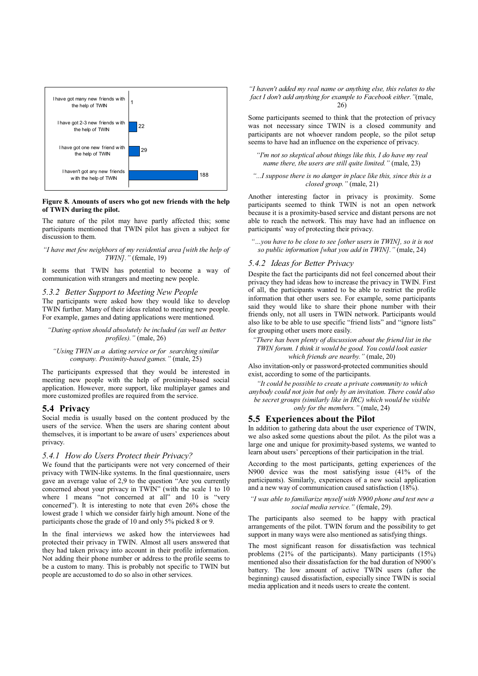

#### **Figure** 8. Amounts of users who got new friends with the help **ofTWIN during the pilot.**

The nature of the pilot may have partly affected this; some participants mentioned that TWIN pilot has given a subject for discussion to them.

#### *"Ihavemet fewneighborsofmyresidential area[withthehelp of TWIN]."*(female, 19)

It seems that TWIN has potential to become a way of communication with strangers and meeting new people.

#### *5.3.2 Better Support to Meeting New People*

The participants were asked how they would like to develop TWIN further. Many of their ideas related to meeting new people. For example, games and dating applications were mentioned.

#### *"Dating option should absolutely be included (as well as better profiles)."*(male, 26)

#### "Using TWIN as a dating service or for searching similar *company.Proximity-basedgames."*(male, 25)

The participants expressed that they would be interested in meeting new people with the help of proximity-based social application. However, more support, like multiplayer games and more customized profiles are required from the service.

## **5.4 Privacy**

Social media is usually based on the content produced by the users of the service. When the users are sharing content about themselves, it is important to be aware of users' experiences about privacy.

## *5.4.1 How do Users Protect their Privacy?*

We found that the participants were not very concerned of their privacy with TWIN-like systems. In the final questionnaire, users gave an average value of 2,9 to the question "Are you currently concerned about your privacy in TWIN" (with the scale 1 to 10 where 1 means "not concerned at all" and 10 is "very concerned"). It is interesting to note that even 26% chose the lowest grade 1 which we consider fairly high amount. None of the participants chose the grade of 10 and only 5% picked 8 or 9.

In the final interviews we asked how the interviewees had protected their privacy in TWIN. Almost all users answered that they had taken privacy into account in their profile information. Not adding their phone number or address to the profile seems to be a custom to many. This is probably not specific to TWIN but people are accustomed to do so also in other services.

*"Ihaven't addedmyreal nameoranythingelse,thisrelatesto the fact I don't add anything for example to Facebook either.*"(male, 26)

Some participants seemed to think that the protection of privacy was not necessary since TWIN is a closed community and participants are not whoever random people, so the pilot setup seems to have had an influence on the experience of privacy.

*"I'm not so skeptical about thingslikethis,Ido havemyreal name there, the users are still quite limited.*" (male, 23)

#### *"...Isupposethereisno dangerinplacelikethis,sincethisisa closedgroup."*(male, 21)

Another interesting factor in privacy is proximity. Some participants seemed to think TWIN is not an open network because it is a proximity-based service and distant persons are not able to reach the network. This may have had an influence on participants' way of protecting their privacy.

*"…youhaveto becloseto see[otherusersinTWIN],so it isnot so publicinformation[what youaddinTWIN]."*(male, 24)

## **5.4.2** *Ideas for Better Privacy*

Despite the fact the participants did not feel concerned about their privacy they had ideas how to increase the privacy in TWIN. First of all, the participants wanted to be able to restrict the profile information that other users see. For example, some participants said they would like to share their phone number with their friends only, not all users in TWIN network. Participants would also like to be able to use specific "friend lists" and "ignore lists" for grouping other users more easily.

*"There has been plenty of discussion about the friend list in the TWINforum.Ithinkit wouldbegood.Youcouldlookeasier which friends are nearby."* (male, 20)

Also invitation-only or password-protected communities should exist, according to some of the participants.

*"It couldbepossibleto createaprivatecommunityto which anybodycouldnot joinbut onlybyaninvitation.Therecouldalso* be secret groups (similarly like in IRC) which would be visible *only for the members."* (male, 24)

#### **5.5 Experiences about the Pilot**

In addition to gathering data about the user experience of TWIN. we also asked some questions about the pilot. As the pilot was a large one and unique for proximity-based systems, we wanted to learn about users' perceptions of their participation in the trial.

According to the most participants, getting experiences of the N900 device was the most satisfying issue (41% of the participants). Similarly, experiences of a new social application and a new way of communication caused satisfaction (18%).

#### *"I was able to familiarize myself with N900 phone and test new a social mediaservice."*(female, 29).

The participants also seemed to be happy with practical arrangements of the pilot. TWIN forum and the possibility to get support in many ways were also mentioned as satisfying things.

The most significant reason for dissatisfaction was technical problems (21% of the participants). Many participants (15%) mentioned also their dissatisfaction for the bad duration of N900's battery. The low amount of active TWIN users (after the beginning) caused dissatisfaction, especially since TWIN is social media application and it needs users to create the content.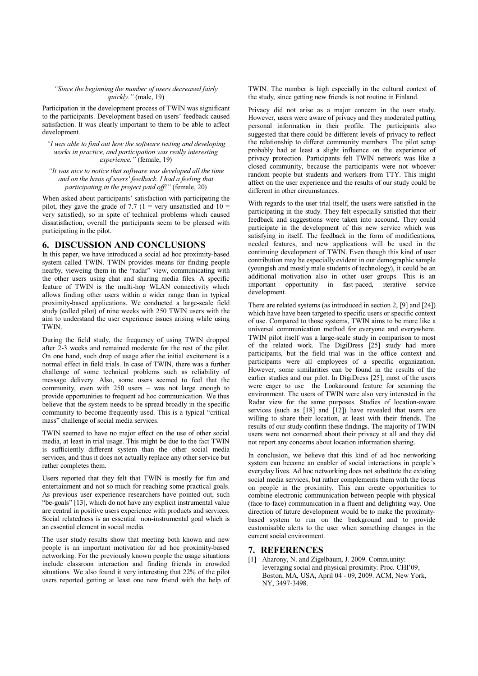#### "Since the beginning the number of users decreased fairly *quickly."*(male, 19)

Participation in the development process of TWIN was significant to the participants. Development based on users' feedback caused satisfaction. It was clearly important to them to be able to affect development.

*"Iwasableto findout howthesoftwaretestinganddeveloping* works in practice, and participation was really interesting *experience."*(female, 19)

"It was nice to notice that software was developed all the time and on the basis of users' feedback. I had a feeling that *participating in the project paid off!"* (female, 20)

When asked about participants' satisfaction with participating the pilot, they gave the grade of 7.7 (1 = very unsatisfied and  $10 =$ very satisfied), so in spite of technical problems which caused dissatisfaction, overall the participants seem to be pleased with participating in the pilot.

## **6. DISCUSSION AND CONCLUSIONS**

In this paper, we have introduced a social ad hoc proximity-based system called TWIN. TWIN provides means for finding people nearby, vieweing them in the "radar" view, communicating with the other users using chat and sharing media files. A specific feature of TWIN is the multi-hop WLAN connectivity which allows finding other users within a wider range than in typical proximity-based applications. We conducted a large-scale field study (called pilot) of nine weeks with 250 TWIN users with the aim to understand the user experience issues arising while using TWIN.

During the field study, the frequency of using TWIN dropped after 2-3 weeks and remained moderate for the rest of the pilot. On one hand, such drop of usage after the initial excitement is a normal effect in field trials. In case of TWIN, there was a further challenge of some technical problems such as reliability of message delivery. Also, some users seemed to feel that the community, even with 250 users – was not large enough to provide opportunities to frequent ad hoc communication. We thus believe that the system needs to be spread broadly in the specific community to become frequently used. This is a typical "critical mass" challenge of social media services.

TWIN seemed to have no major effect on the use of other social media, at least in trial usage. This might be due to the fact TWIN is sufficiently different system than the other social media services, and thus it does not actually replace any other service but rather completes them.

Users reported that they felt that TWIN is mostly for fun and entertainment and not so much for reaching some practical goals. As previous user experience researchers have pointed out, such "be-goals" [13], which do not have any explicit instrumental value are central in positive users experience with products and services. Social relatedness is an essential non-instrumental goal which is an essential element in social media.

The user study results show that meeting both known and new people is an important motivation for ad hoc proximity-based networking. For the previously known people the usage situations include classroon interaction and finding friends in crowded situations. We also found it very interesting that 22% of the pilot users reported getting at least one new friend with the help of TWIN. The number is high especially in the cultural context of the study, since getting new friends is not routine in Finland.

Privacy did not arise as a major concern in the user study. However, users were aware of privacy and they moderated putting personal information in their profile. The participants also suggested that there could be different levels of privacy to reflect the relationship to differet community members. The pilot setup probably had at least a slight influence on the experience of privacy protection. Participants felt TWIN network was like a closed community, because the participants were not whoever random people but students and workers from TTY. This might affect on the user experience and the results of our study could be different in other circumstances.

With regards to the user trial itself, the users were satisfied in the participating in the study. They felt especially satisfied that their feedback and suggestions were taken into accound. They could participate in the development of this new service which was satisfying in itself. The feedback in the form of modifications, needed features, and new applications will be used in the continuing development of TWIN. Even though this kind of user contribution may be especially evident in our demographic sample (youngish and mostly male students of technology), it could be an additional motivation also in other user groups. This is an important opportunity in fast-paced, iterative service opportunity in fast-paced, development.

There are related systems (as introduced in section 2, [9] and [24]) which have have been targeted to specific users or specific context of use. Compared to those systems, TWIN aims to be more like a universal communication method for everyone and everywhere. TWIN pilot itself was a large-scale study in comparison to most of the related work. The DigiDress [25] study had more participants, but the field trial was in the office context and participants were all employees of a specific organization. However, some similarities can be found in the results of the earlier studies and our pilot. In DigiDress [25], most of the users were eager to use the Lookaround feature for scanning the environment. The users of TWIN were also very interested in the Radar view for the same purposes. Studies of location-aware services (such as [18] and [12]) have revealed that users are willing to share their location, at least with their friends. The results of our study confirm these findings. The majority of TWIN users were not concerned about their privacy at all and they did not report any concerns about location information sharing.

In conclusion, we believe that this kind of ad hoc networking system can become an enabler of social interactions in people's everyday lives. Ad hoc networking does not substitute the existing social media services, but rather complements them with the focus on people in the proximity. This can create opportunities to combine electronic communication between people with physical (face-to-face) communication in a fluent and delighting way. One direction of future development would be to make the proximitybased system to run on the background and to provide customisable alerts to the user when something changes in the current social environment.

## **7. REFERENCES**

[1] Aharony, N. and Zigelbaum, J. 2009. Comm.unity: leveraging social and physical proximity. Proc. CHI'09, Boston, MA, USA, April 04 - 09, 2009. ACM, New York, NY, 3497-3498.